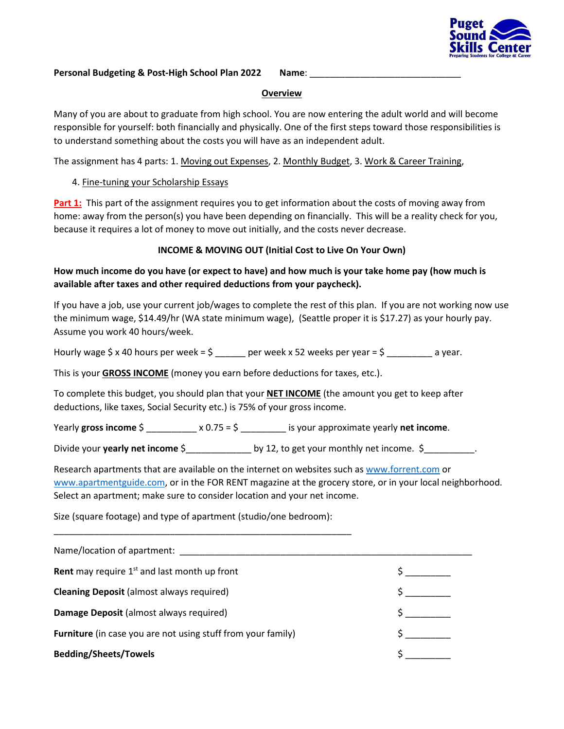

#### **Personal Budgeting & Post-High School Plan 2022 Name:**

#### **Overview**

Many of you are about to graduate from high school. You are now entering the adult world and will become responsible for yourself: both financially and physically. One of the first steps toward those responsibilities is to understand something about the costs you will have as an independent adult.

The assignment has 4 parts: 1. Moving out Expenses, 2. Monthly Budget, 3. Work & Career Training,

# 4. Fine-tuning your Scholarship Essays

**Part 1:** This part of the assignment requires you to get information about the costs of moving away from home: away from the person(s) you have been depending on financially. This will be a reality check for you, because it requires a lot of money to move out initially, and the costs never decrease.

# **INCOME & MOVING OUT (Initial Cost to Live On Your Own)**

# **How much income do you have (or expect to have) and how much is your take home pay (how much is available after taxes and other required deductions from your paycheck).**

If you have a job, use your current job/wages to complete the rest of this plan. If you are not working now use the minimum wage, \$14.49/hr (WA state minimum wage), (Seattle proper it is \$17.27) as your hourly pay. Assume you work 40 hours/week.

Hourly wage  $\frac{2}{3}$  x 40 hours per week =  $\frac{2}{3}$  \_\_\_\_\_\_ per week x 52 weeks per year =  $\frac{2}{3}$  \_\_\_\_\_\_\_\_ a year.

This is your **GROSS INCOME** (money you earn before deductions for taxes, etc.).

To complete this budget, you should plan that your **NET INCOME** (the amount you get to keep after deductions, like taxes, Social Security etc.) is 75% of your gross income.

Yearly **gross income** \$ \_\_\_\_\_\_\_\_\_\_ x 0.75 = \$ \_\_\_\_\_\_\_\_\_ is your approximate yearly **net income**.

Divide your **yearly net income** \$ by 12, to get your monthly net income. \$

Research apartments that are available on the internet on websites such a[s www.forrent.com](http://www.forrent.com/) or [www.apartmentguide.com,](http://www.apartmentguide.com/) or in the FOR RENT magazine at the grocery store, or in your local neighborhood. Select an apartment; make sure to consider location and your net income.

Size (square footage) and type of apartment (studio/one bedroom):

\_\_\_\_\_\_\_\_\_\_\_\_\_\_\_\_\_\_\_\_\_\_\_\_\_\_\_\_\_\_\_\_\_\_\_\_\_\_\_\_\_\_\_\_\_\_\_\_\_\_\_\_\_\_\_\_\_\_\_

| Name/location of apartment:                                         |  |
|---------------------------------------------------------------------|--|
| <b>Rent</b> may require $1st$ and last month up front               |  |
| <b>Cleaning Deposit (almost always required)</b>                    |  |
| Damage Deposit (almost always required)                             |  |
| <b>Furniture</b> (in case you are not using stuff from your family) |  |
| <b>Bedding/Sheets/Towels</b>                                        |  |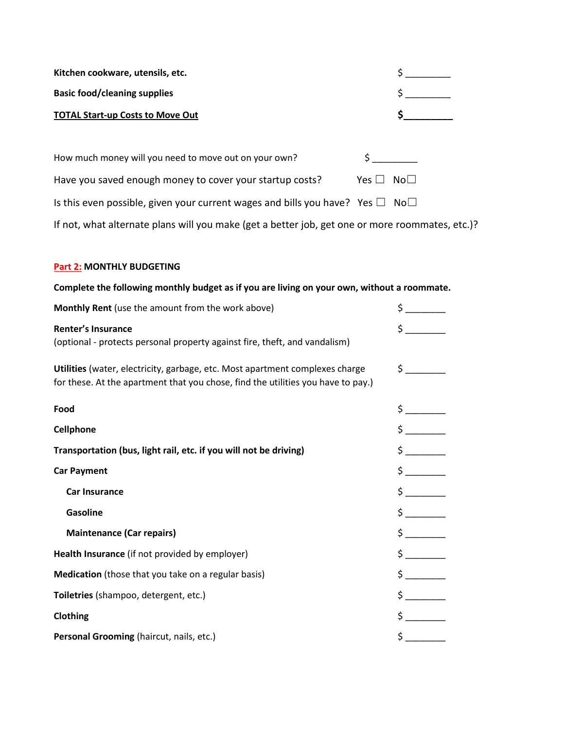| Kitchen cookware, utensils, etc.                                                         |            |                 |
|------------------------------------------------------------------------------------------|------------|-----------------|
| <b>Basic food/cleaning supplies</b>                                                      |            |                 |
| <b>TOTAL Start-up Costs to Move Out</b>                                                  |            |                 |
|                                                                                          |            |                 |
| How much money will you need to move out on your own?                                    |            |                 |
| Have you saved enough money to cover your startup costs?                                 | Yes $\Box$ | No <sup>T</sup> |
| Is this even possible, given your current wages and bills you have? Yes $\Box$ No $\Box$ |            |                 |

If not, what alternate plans will you make (get a better job, get one or more roommates, etc.)?

# **Part 2: MONTHLY BUDGETING**

# **Complete the following monthly budget as if you are living on your own, without a roommate.**

| Monthly Rent (use the amount from the work above)                                                       | \$                                        |
|---------------------------------------------------------------------------------------------------------|-------------------------------------------|
| <b>Renter's Insurance</b><br>(optional - protects personal property against fire, theft, and vandalism) | $\mathsf{\dot{S}}$ and $\mathsf{\dot{S}}$ |
| Utilities (water, electricity, garbage, etc. Most apartment complexes charge                            | $\frac{1}{5}$                             |
| for these. At the apartment that you chose, find the utilities you have to pay.)                        |                                           |
| Food                                                                                                    |                                           |
| <b>Cellphone</b>                                                                                        | $\ddot{\mathsf{S}}$                       |
| Transportation (bus, light rail, etc. if you will not be driving)                                       | $\sharp$ and $\sharp$                     |
| <b>Car Payment</b>                                                                                      |                                           |
| <b>Car Insurance</b>                                                                                    | $\frac{1}{2}$                             |
| <b>Gasoline</b>                                                                                         |                                           |
| <b>Maintenance (Car repairs)</b>                                                                        |                                           |
| Health Insurance (if not provided by employer)                                                          |                                           |
| Medication (those that you take on a regular basis)                                                     | $\frac{1}{2}$                             |
| Toiletries (shampoo, detergent, etc.)                                                                   | $\sharp$ and $\sharp$                     |
| Clothing                                                                                                |                                           |
| Personal Grooming (haircut, nails, etc.)                                                                | $\frac{1}{2}$                             |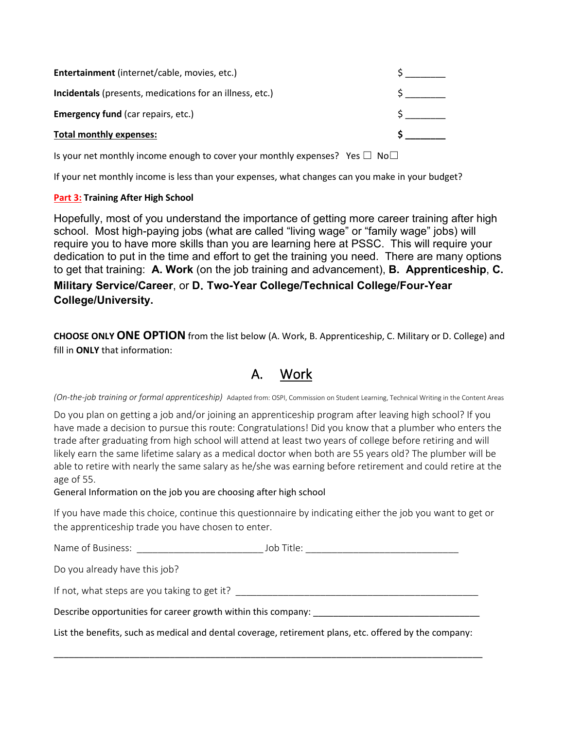| <b>Entertainment</b> (internet/cable, movies, etc.)             |  |
|-----------------------------------------------------------------|--|
| <b>Incidentals</b> (presents, medications for an illness, etc.) |  |
| <b>Emergency fund (car repairs, etc.)</b>                       |  |
| <b>Total monthly expenses:</b>                                  |  |

Is your net monthly income enough to cover your monthly expenses? Yes  $\Box$  No $\Box$ 

If your net monthly income is less than your expenses, what changes can you make in your budget?

### **Part 3: Training After High School**

Hopefully, most of you understand the importance of getting more career training after high school. Most high-paying jobs (what are called "living wage" or "family wage" jobs) will require you to have more skills than you are learning here at PSSC. This will require your dedication to put in the time and effort to get the training you need. There are many options to get that training: **A. Work** (on the job training and advancement), **B. Apprenticeship**, **C. Military Service/Career**, or **D**. **Two-Year College/Technical College/Four-Year College/University.**

**CHOOSE ONLY ONE OPTION** from the list below (A. Work, B. Apprenticeship, C. Military or D. College) and fill in **ONLY** that information:

# A. Work

*(On-the-job training or formal apprenticeship)* Adapted from: OSPI, Commission on Student Learning, Technical Writing in the Content Areas

Do you plan on getting a job and/or joining an apprenticeship program after leaving high school? If you have made a decision to pursue this route: Congratulations! Did you know that a plumber who enters the trade after graduating from high school will attend at least two years of college before retiring and will likely earn the same lifetime salary as a medical doctor when both are 55 years old? The plumber will be able to retire with nearly the same salary as he/she was earning before retirement and could retire at the age of 55.

General Information on the job you are choosing after high school

If you have made this choice, continue this questionnaire by indicating either the job you want to get or the apprenticeship trade you have chosen to enter.

| Name of Business:                                             | Job Title: |  |
|---------------------------------------------------------------|------------|--|
| Do you already have this job?                                 |            |  |
| If not, what steps are you taking to get it?                  |            |  |
| Describe opportunities for career growth within this company: |            |  |
|                                                               |            |  |

List the benefits, such as medical and dental coverage, retirement plans, etc. offered by the company:

\_\_\_\_\_\_\_\_\_\_\_\_\_\_\_\_\_\_\_\_\_\_\_\_\_\_\_\_\_\_\_\_\_\_\_\_\_\_\_\_\_\_\_\_\_\_\_\_\_\_\_\_\_\_\_\_\_\_\_\_\_\_\_\_\_\_\_\_\_\_\_\_\_\_\_\_\_\_\_\_\_\_\_\_\_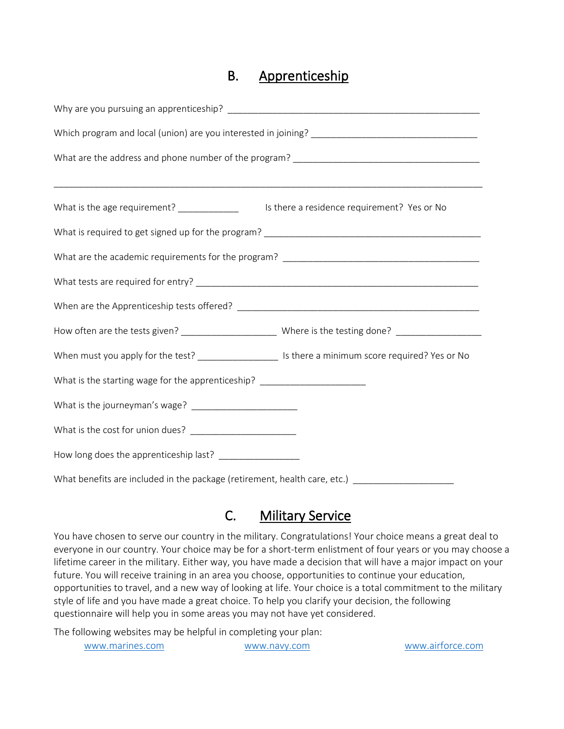# B. Apprenticeship

| What is the age requirement? _____________                                                            | Is there a residence requirement? Yes or No |  |  |  |
|-------------------------------------------------------------------------------------------------------|---------------------------------------------|--|--|--|
|                                                                                                       |                                             |  |  |  |
|                                                                                                       |                                             |  |  |  |
|                                                                                                       |                                             |  |  |  |
|                                                                                                       |                                             |  |  |  |
|                                                                                                       |                                             |  |  |  |
| When must you apply for the test? ______________________ Is there a minimum score required? Yes or No |                                             |  |  |  |
| What is the starting wage for the apprenticeship? ______________________________                      |                                             |  |  |  |
|                                                                                                       |                                             |  |  |  |
|                                                                                                       |                                             |  |  |  |
| How long does the apprenticeship last? _________________                                              |                                             |  |  |  |
| What benefits are included in the package (retirement, health care, etc.) _______                     |                                             |  |  |  |

# C. Military Service

You have chosen to serve our country in the military. Congratulations! Your choice means a great deal to everyone in our country. Your choice may be for a short-term enlistment of four years or you may choose a lifetime career in the military. Either way, you have made a decision that will have a major impact on your future. You will receive training in an area you choose, opportunities to continue your education, opportunities to travel, and a new way of looking at life. Your choice is a total commitment to the military style of life and you have made a great choice. To help you clarify your decision, the following questionnaire will help you in some areas you may not have yet considered.

The following websites may be helpful in completing your plan:

|  |  |  | www.marines.com |
|--|--|--|-----------------|
|  |  |  |                 |

[www.navy.com](http://www.navy.com/) [www.airforce.com](http://www.airforce.com/)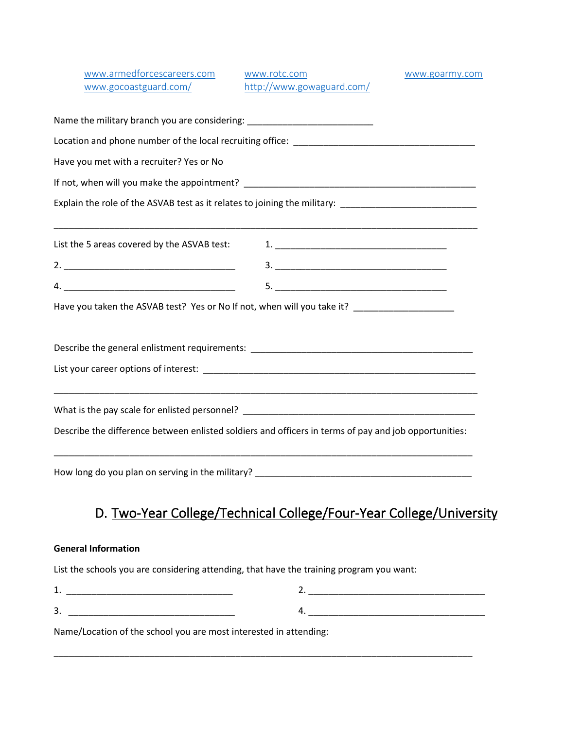| www.armedforcescareers.com<br>www.gocoastguard.com/                                                                    | www.rotc.com<br>http://www.gowaguard.com/                                                                             | www.goarmy.com |
|------------------------------------------------------------------------------------------------------------------------|-----------------------------------------------------------------------------------------------------------------------|----------------|
| Name the military branch you are considering: __________________________________                                       |                                                                                                                       |                |
|                                                                                                                        |                                                                                                                       |                |
| Have you met with a recruiter? Yes or No                                                                               |                                                                                                                       |                |
|                                                                                                                        |                                                                                                                       |                |
| Explain the role of the ASVAB test as it relates to joining the military: __________________________                   |                                                                                                                       |                |
| List the 5 areas covered by the ASVAB test:                                                                            | <u> 1989 - Johann Stoff, deutscher Stoff, der Stoff, der Stoff, der Stoff, der Stoff, der Stoff, der Stoff, der S</u> |                |
|                                                                                                                        |                                                                                                                       |                |
|                                                                                                                        |                                                                                                                       |                |
| Have you taken the ASVAB test? Yes or No If not, when will you take it? _____________________                          |                                                                                                                       |                |
| Describe the general enlistment requirements: ___________________________________                                      |                                                                                                                       |                |
|                                                                                                                        |                                                                                                                       |                |
| <u> 1989 - Johann John Stone, markin sanadi amerikan bahasa dalam berasal dalam berasal dalam berasal dalam berasa</u> |                                                                                                                       |                |
| Describe the difference between enlisted soldiers and officers in terms of pay and job opportunities:                  |                                                                                                                       |                |
|                                                                                                                        |                                                                                                                       |                |

# D. Two-Year College/Technical College/Four-Year College/University

# **General Information**

List the schools you are considering attending, that have the training program you want:

| --<br>--                                                     |                    |
|--------------------------------------------------------------|--------------------|
|                                                              |                    |
| ້<br>___<br>_____<br>___<br>_________<br>____<br>____<br>___ | __________<br>____ |

\_\_\_\_\_\_\_\_\_\_\_\_\_\_\_\_\_\_\_\_\_\_\_\_\_\_\_\_\_\_\_\_\_\_\_\_\_\_\_\_\_\_\_\_\_\_\_\_\_\_\_\_\_\_\_\_\_\_\_\_\_\_\_\_\_\_\_\_\_\_\_\_\_\_\_\_\_\_\_\_\_\_\_

Name/Location of the school you are most interested in attending: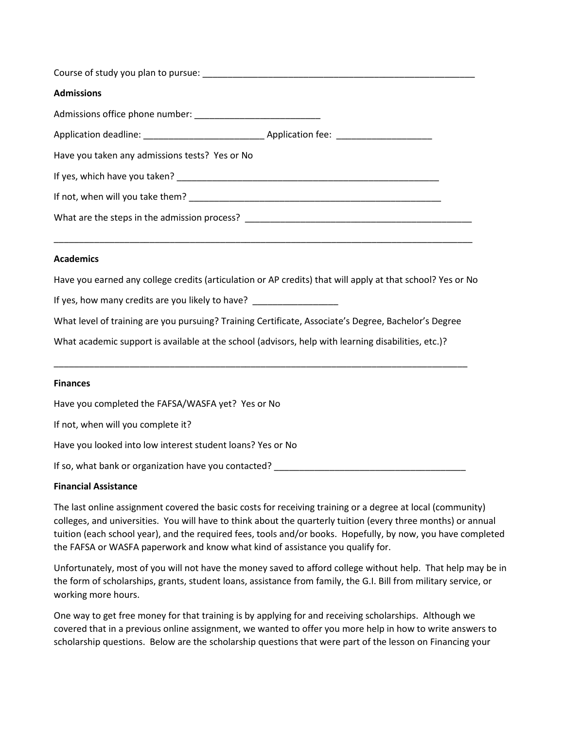| <b>Admissions</b>                                                                                                                                                                                                              |  |
|--------------------------------------------------------------------------------------------------------------------------------------------------------------------------------------------------------------------------------|--|
|                                                                                                                                                                                                                                |  |
|                                                                                                                                                                                                                                |  |
| Have you taken any admissions tests? Yes or No                                                                                                                                                                                 |  |
|                                                                                                                                                                                                                                |  |
|                                                                                                                                                                                                                                |  |
| What are the steps in the admission process? The contract of the step of the step of the step of the step of the step of the step of the step of the step of the step of the step of the step of the step of the step of the s |  |
|                                                                                                                                                                                                                                |  |

#### **Academics**

Have you earned any college credits (articulation or AP credits) that will apply at that school? Yes or No

If yes, how many credits are you likely to have?

What level of training are you pursuing? Training Certificate, Associate's Degree, Bachelor's Degree

\_\_\_\_\_\_\_\_\_\_\_\_\_\_\_\_\_\_\_\_\_\_\_\_\_\_\_\_\_\_\_\_\_\_\_\_\_\_\_\_\_\_\_\_\_\_\_\_\_\_\_\_\_\_\_\_\_\_\_\_\_\_\_\_\_\_\_\_\_\_\_\_\_\_\_\_\_\_\_\_\_\_

What academic support is available at the school (advisors, help with learning disabilities, etc.)?

#### **Finances**

Have you completed the FAFSA/WASFA yet? Yes or No

If not, when will you complete it?

Have you looked into low interest student loans? Yes or No

If so, what bank or organization have you contacted? \_\_\_\_\_\_\_\_\_\_\_\_\_\_\_\_\_\_\_\_\_\_\_\_\_\_\_

#### **Financial Assistance**

The last online assignment covered the basic costs for receiving training or a degree at local (community) colleges, and universities. You will have to think about the quarterly tuition (every three months) or annual tuition (each school year), and the required fees, tools and/or books. Hopefully, by now, you have completed the FAFSA or WASFA paperwork and know what kind of assistance you qualify for.

Unfortunately, most of you will not have the money saved to afford college without help. That help may be in the form of scholarships, grants, student loans, assistance from family, the G.I. Bill from military service, or working more hours.

One way to get free money for that training is by applying for and receiving scholarships. Although we covered that in a previous online assignment, we wanted to offer you more help in how to write answers to scholarship questions. Below are the scholarship questions that were part of the lesson on Financing your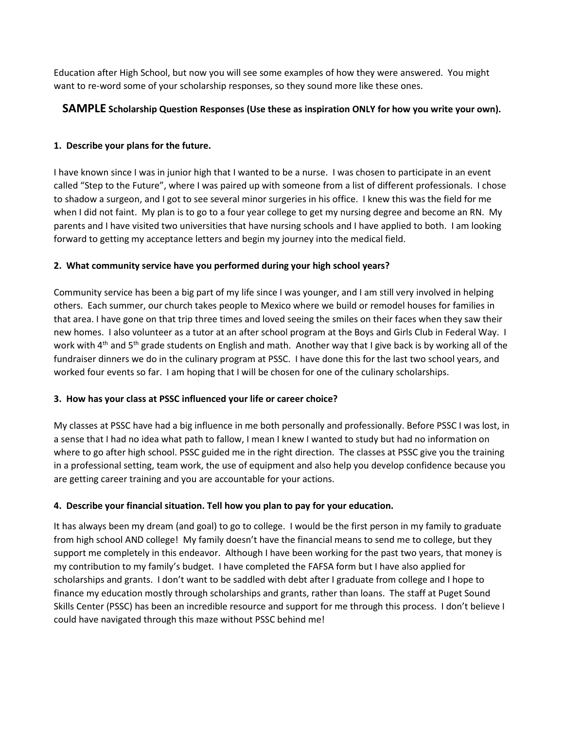Education after High School, but now you will see some examples of how they were answered. You might want to re-word some of your scholarship responses, so they sound more like these ones.

# **SAMPLE Scholarship Question Responses (Use these as inspiration ONLY for how you write your own).**

### **1. Describe your plans for the future.**

I have known since I was in junior high that I wanted to be a nurse. I was chosen to participate in an event called "Step to the Future", where I was paired up with someone from a list of different professionals. I chose to shadow a surgeon, and I got to see several minor surgeries in his office. I knew this was the field for me when I did not faint. My plan is to go to a four year college to get my nursing degree and become an RN. My parents and I have visited two universities that have nursing schools and I have applied to both. I am looking forward to getting my acceptance letters and begin my journey into the medical field.

### **2. What community service have you performed during your high school years?**

Community service has been a big part of my life since I was younger, and I am still very involved in helping others. Each summer, our church takes people to Mexico where we build or remodel houses for families in that area. I have gone on that trip three times and loved seeing the smiles on their faces when they saw their new homes. I also volunteer as a tutor at an after school program at the Boys and Girls Club in Federal Way. I work with 4<sup>th</sup> and 5<sup>th</sup> grade students on English and math. Another way that I give back is by working all of the fundraiser dinners we do in the culinary program at PSSC. I have done this for the last two school years, and worked four events so far. I am hoping that I will be chosen for one of the culinary scholarships.

#### **3. How has your class at PSSC influenced your life or career choice?**

My classes at PSSC have had a big influence in me both personally and professionally. Before PSSC I was lost, in a sense that I had no idea what path to fallow, I mean I knew I wanted to study but had no information on where to go after high school. PSSC guided me in the right direction. The classes at PSSC give you the training in a professional setting, team work, the use of equipment and also help you develop confidence because you are getting career training and you are accountable for your actions.

## **4. Describe your financial situation. Tell how you plan to pay for your education.**

It has always been my dream (and goal) to go to college. I would be the first person in my family to graduate from high school AND college! My family doesn't have the financial means to send me to college, but they support me completely in this endeavor. Although I have been working for the past two years, that money is my contribution to my family's budget. I have completed the FAFSA form but I have also applied for scholarships and grants. I don't want to be saddled with debt after I graduate from college and I hope to finance my education mostly through scholarships and grants, rather than loans. The staff at Puget Sound Skills Center (PSSC) has been an incredible resource and support for me through this process. I don't believe I could have navigated through this maze without PSSC behind me!